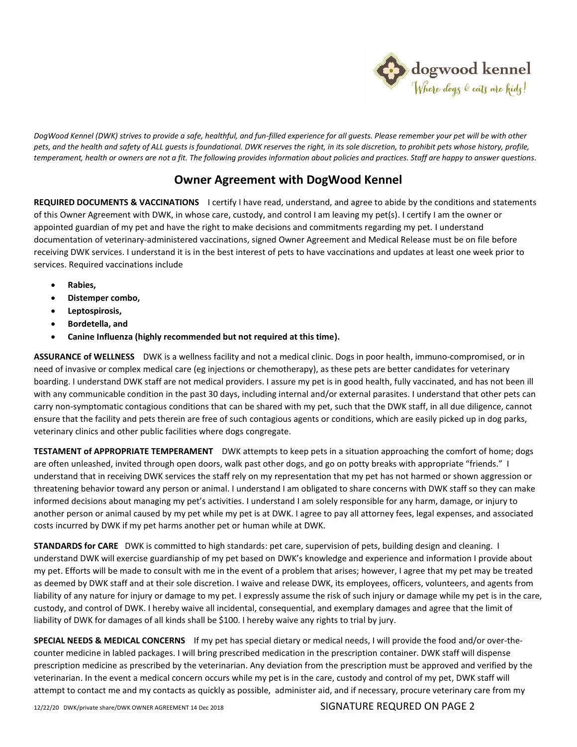

*DogWood Kennel (DWK) strives to provide a safe, healthful, and fun-filled experience for all guests. Please remember your pet will be with other*  pets, and the health and safety of ALL auests is foundational. DWK reserves the right, in its sole discretion, to prohibit pets whose history, profile, *temperament, health or owners are not a fit. The following provides information about policies and practices. Staff are happy to answer questions.* 

## **Owner Agreement with DogWood Kennel**

**REQUIRED DOCUMENTS & VACCINATIONS** I certify I have read, understand, and agree to abide by the conditions and statements of this Owner Agreement with DWK, in whose care, custody, and control I am leaving my pet(s). I certify I am the owner or appointed guardian of my pet and have the right to make decisions and commitments regarding my pet. I understand documentation of veterinary-administered vaccinations, signed Owner Agreement and Medical Release must be on file before receiving DWK services. I understand it is in the best interest of pets to have vaccinations and updates at least one week prior to services. Required vaccinations include

- **Rabies,**
- **Distemper combo,**
- **Leptospirosis,**
- **Bordetella, and**
- **Canine Influenza (highly recommended but not required at this time).**

**ASSURANCE of WELLNESS** DWK is a wellness facility and not a medical clinic. Dogs in poor health, immuno-compromised, or in need of invasive or complex medical care (eg injections or chemotherapy), as these pets are better candidates for veterinary boarding. I understand DWK staff are not medical providers. I assure my pet is in good health, fully vaccinated, and has not been ill with any communicable condition in the past 30 days, including internal and/or external parasites. I understand that other pets can carry non-symptomatic contagious conditions that can be shared with my pet, such that the DWK staff, in all due diligence, cannot ensure that the facility and pets therein are free of such contagious agents or conditions, which are easily picked up in dog parks, veterinary clinics and other public facilities where dogs congregate.

**TESTAMENT of APPROPRIATE TEMPERAMENT** DWK attempts to keep pets in a situation approaching the comfort of home; dogs are often unleashed, invited through open doors, walk past other dogs, and go on potty breaks with appropriate "friends." I understand that in receiving DWK services the staff rely on my representation that my pet has not harmed or shown aggression or threatening behavior toward any person or animal. I understand I am obligated to share concerns with DWK staff so they can make informed decisions about managing my pet's activities. I understand I am solely responsible for any harm, damage, or injury to another person or animal caused by my pet while my pet is at DWK. I agree to pay all attorney fees, legal expenses, and associated costs incurred by DWK if my pet harms another pet or human while at DWK.

**STANDARDS for CARE** DWK is committed to high standards: pet care, supervision of pets, building design and cleaning. I understand DWK will exercise guardianship of my pet based on DWK's knowledge and experience and information I provide about my pet. Efforts will be made to consult with me in the event of a problem that arises; however, I agree that my pet may be treated as deemed by DWK staff and at their sole discretion. I waive and release DWK, its employees, officers, volunteers, and agents from liability of any nature for injury or damage to my pet. I expressly assume the risk of such injury or damage while my pet is in the care, custody, and control of DWK. I hereby waive all incidental, consequential, and exemplary damages and agree that the limit of liability of DWK for damages of all kinds shall be \$100. I hereby waive any rights to trial by jury.

**SPECIAL NEEDS & MEDICAL CONCERNS** If my pet has special dietary or medical needs, I will provide the food and/or over-thecounter medicine in labled packages. I will bring prescribed medication in the prescription container. DWK staff will dispense prescription medicine as prescribed by the veterinarian. Any deviation from the prescription must be approved and verified by the veterinarian. In the event a medical concern occurs while my pet is in the care, custody and control of my pet, DWK staff will attempt to contact me and my contacts as quickly as possible, administer aid, and if necessary, procure veterinary care from my

12/22/20 DWK/private share/DWK OWNER AGREEMENT 14 Dec 2018 SIGNATURE REQURED ON PAGE 2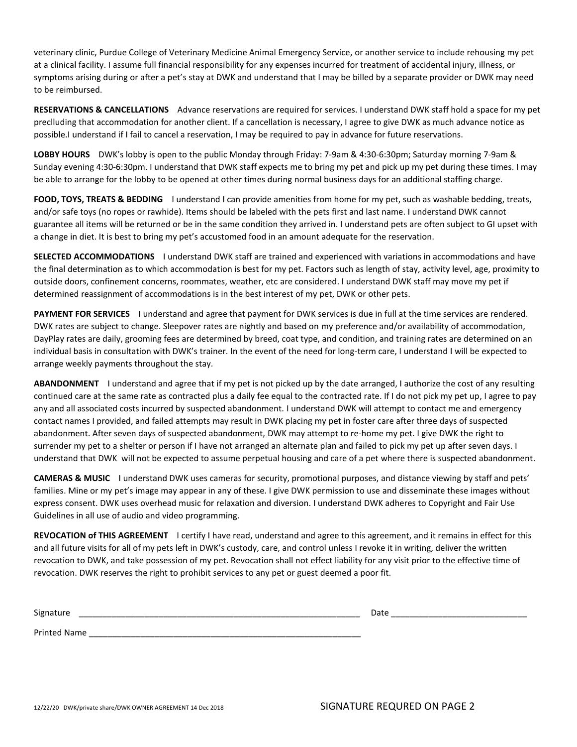veterinary clinic, Purdue College of Veterinary Medicine Animal Emergency Service, or another service to include rehousing my pet at a clinical facility. I assume full financial responsibility for any expenses incurred for treatment of accidental injury, illness, or symptoms arising during or after a pet's stay at DWK and understand that I may be billed by a separate provider or DWK may need to be reimbursed.

**RESERVATIONS & CANCELLATIONS** Advance reservations are required for services. I understand DWK staff hold a space for my pet preclluding that accommodation for another client. If a cancellation is necessary, I agree to give DWK as much advance notice as possible.I understand if I fail to cancel a reservation, I may be required to pay in advance for future reservations.

**LOBBY HOURS** DWK's lobby is open to the public Monday through Friday: 7-9am & 4:30-6:30pm; Saturday morning 7-9am & Sunday evening 4:30-6:30pm. I understand that DWK staff expects me to bring my pet and pick up my pet during these times. I may be able to arrange for the lobby to be opened at other times during normal business days for an additional staffing charge.

**FOOD, TOYS, TREATS & BEDDING** I understand I can provide amenities from home for my pet, such as washable bedding, treats, and/or safe toys (no ropes or rawhide). Items should be labeled with the pets first and last name. I understand DWK cannot guarantee all items will be returned or be in the same condition they arrived in. I understand pets are often subject to GI upset with a change in diet. It is best to bring my pet's accustomed food in an amount adequate for the reservation.

**SELECTED ACCOMMODATIONS** I understand DWK staff are trained and experienced with variations in accommodations and have the final determination as to which accommodation is best for my pet. Factors such as length of stay, activity level, age, proximity to outside doors, confinement concerns, roommates, weather, etc are considered. I understand DWK staff may move my pet if determined reassignment of accommodations is in the best interest of my pet, DWK or other pets.

**PAYMENT FOR SERVICES** I understand and agree that payment for DWK services is due in full at the time services are rendered. DWK rates are subject to change. Sleepover rates are nightly and based on my preference and/or availability of accommodation, DayPlay rates are daily, grooming fees are determined by breed, coat type, and condition, and training rates are determined on an individual basis in consultation with DWK's trainer. In the event of the need for long-term care, I understand I will be expected to arrange weekly payments throughout the stay.

**ABANDONMENT** I understand and agree that if my pet is not picked up by the date arranged, I authorize the cost of any resulting continued care at the same rate as contracted plus a daily fee equal to the contracted rate. If I do not pick my pet up, I agree to pay any and all associated costs incurred by suspected abandonment. I understand DWK will attempt to contact me and emergency contact names I provided, and failed attempts may result in DWK placing my pet in foster care after three days of suspected abandonment. After seven days of suspected abandonment, DWK may attempt to re-home my pet. I give DWK the right to surrender my pet to a shelter or person if I have not arranged an alternate plan and failed to pick my pet up after seven days. I understand that DWK will not be expected to assume perpetual housing and care of a pet where there is suspected abandonment.

**CAMERAS & MUSIC** I understand DWK uses cameras for security, promotional purposes, and distance viewing by staff and pets' families. Mine or my pet's image may appear in any of these. I give DWK permission to use and disseminate these images without express consent. DWK uses overhead music for relaxation and diversion. I understand DWK adheres to Copyright and Fair Use Guidelines in all use of audio and video programming.

**REVOCATION of THIS AGREEMENT** I certify I have read, understand and agree to this agreement, and it remains in effect for this and all future visits for all of my pets left in DWK's custody, care, and control unless I revoke it in writing, deliver the written revocation to DWK, and take possession of my pet. Revocation shall not effect liability for any visit prior to the effective time of revocation. DWK reserves the right to prohibit services to any pet or guest deemed a poor fit.

| Signature          | Date<br>___________________ |
|--------------------|-----------------------------|
| <b>Printed Nan</b> |                             |